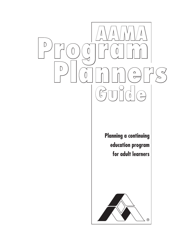

**Planning a continuing education program for adult learners**

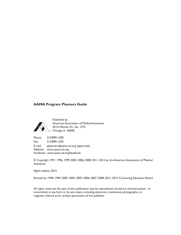#### **AAMA Program Planners Guide**



Published by American Association of Medical Assistants 20 N. Wacker Dr., Ste. 1575 Chicago, IL 60606

Phone: 312/899-1500 Fax: 312/899-1259 E-mail: pplanners@[aama-ntl.org](mailto:PPlanners@aama-ntl.org) (approvals) Website: www.aama-ntl.org Facebook: www.aama-ntl.org/facebook

© Copyright 1991, 1996, 1999, 2003, 2006, 2008, 2011, 2015 by the American Association of Medical **Assistants** 

Eighth edition 2015

Revised by 1998–1999, 2002–2003, 2005–2006, 2007–2008, 2011, 2015 Continuing Education Board

All rights reserved. No part of this publication may be reproduced, stored in a retrieval system, or transmitted, in any form or by any means, including electronic, mechanical, photographic, or magnetic without prior written permission of the publisher.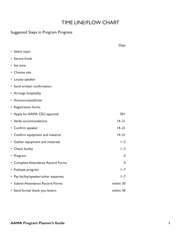# TIME LINE/FLOW CHART

### Suggested Steps in Program Progress

|                                       | Days      |
|---------------------------------------|-----------|
| • Select topic                        |           |
| • Secure funds                        |           |
| • Set time                            |           |
| • Choose site                         |           |
| • Locate speaker                      |           |
| • Send written confirmation           |           |
| • Arrange hospitality                 |           |
| • Announce/publicize                  |           |
| • Registration forms                  |           |
| • Apply for AAMA CEU approval         | $30+$     |
| • Verify accommodations               | $14 - 21$ |
| • Confirm speaker                     | $14 - 21$ |
| • Confirm equipment and material      | $14 - 21$ |
| • Gather equipment and materials      | $I-3$     |
| • Check facility                      | $I-3$     |
| • Program                             | 0         |
| • Complete Attendance Record Forms    | 0         |
| • Evaluate program                    | $I - 7$   |
| • Pay facility/speaker/other expenses | $I - 7$   |
| • Submit Attendance Record Forms      | within 30 |
| • Send formal thank you letters       | within 30 |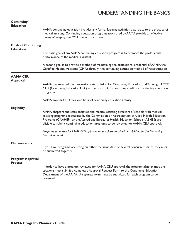# UNDERSTANDINGTHE BASICS

| <b>Continuing</b><br><b>Education</b>          |                                                                                                                                                                                                                                                                                                                                                                           |  |
|------------------------------------------------|---------------------------------------------------------------------------------------------------------------------------------------------------------------------------------------------------------------------------------------------------------------------------------------------------------------------------------------------------------------------------|--|
|                                                | AAMA continuing education includes any formal learning activities that relate to the practice of<br>medical assisting. Continuing education programs sponsored by AAMA provide an effective<br>means of keeping the CMA credential current.                                                                                                                               |  |
| <b>Goals of Continuing</b><br><b>Education</b> |                                                                                                                                                                                                                                                                                                                                                                           |  |
|                                                | The basic goal of any AAMA continuing education program is to promote the professional<br>performance of the medical assistant.                                                                                                                                                                                                                                           |  |
|                                                | A second goal is to provide a method of maintaining the professional credential of AAMA, the<br>Certified Medical Assistant (CMA), through the continuing education method of recertification.                                                                                                                                                                            |  |
| <b>AAMA CEU</b><br><b>Approval</b>             |                                                                                                                                                                                                                                                                                                                                                                           |  |
|                                                | AAMA has selected the International Association for Continuing Education and Training (IACET)<br>CEU (Continuing Education Unit) as the basic unit for awarding credit for continuing education<br>programs.                                                                                                                                                              |  |
|                                                | AAMA awards I CEU for one hour of continuing education activity.                                                                                                                                                                                                                                                                                                          |  |
| <b>Eligibility</b>                             |                                                                                                                                                                                                                                                                                                                                                                           |  |
|                                                | AAMA chapters and state societies and medical assisting directors of schools with medical<br>assisting programs accredited by the Commission on Accreditation of Allied Health Education<br>Programs (CAAHEP) or the Accrediting Bureau of Health Education Schools (ABHES) are<br>eligible to submit continuing education programs to be reviewed for AAMA CEU approval. |  |
|                                                | Programs submitted for AAMA CEU approval must adhere to criteria established by the Continuing<br><b>Education Board.</b>                                                                                                                                                                                                                                                 |  |
| <b>Multi-sessions</b>                          |                                                                                                                                                                                                                                                                                                                                                                           |  |
|                                                | If you have programs occurring on either the same date or several concurrent dates, they must<br>be submitted together.                                                                                                                                                                                                                                                   |  |
| <b>Program Approval</b><br><b>Process</b>      |                                                                                                                                                                                                                                                                                                                                                                           |  |
|                                                | In order to have a program reviewed for AAMA CEU approval, the program planner (not the<br>speaker) must submit a completed Approval Request Form to the Continuing Education<br>Department of the AAMA. A separate form must be submitted for each program to be<br>reviewed.                                                                                            |  |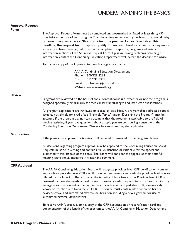## UNDERSTANDINGTHE BASICS

| <b>Approval Request</b><br><b>Form</b> |                                                                                                                                                                                                                                                                                                                                                                                                                                                                                                                                                                                                                                                                                                                              |  |
|----------------------------------------|------------------------------------------------------------------------------------------------------------------------------------------------------------------------------------------------------------------------------------------------------------------------------------------------------------------------------------------------------------------------------------------------------------------------------------------------------------------------------------------------------------------------------------------------------------------------------------------------------------------------------------------------------------------------------------------------------------------------------|--|
|                                        | The Approval Request Form must be completed and postmarked or faxed at least thirty (30)<br>days before the date of your program. This allows time to resolve any problems that would delay<br>or prevent program approval. Should the form be postmarked or faxed after this<br>deadline, the request form may not qualify for review. Therefore, submit your request as<br>soon as you have necessary information to complete the sponsor, program, and instructor<br>information sections of the Approval Request Form. If you are having problems obtaining this<br>information, contact the Continuing Education Department well before the deadline for advice.                                                        |  |
|                                        | To obtain a copy of the Approval Request Form, please contact:                                                                                                                                                                                                                                                                                                                                                                                                                                                                                                                                                                                                                                                               |  |
|                                        | <b>AAMA Continuing Education Department</b><br>800/228-2262<br>Phone:<br>312/899-8391<br>Fax:<br>pplanners@aama-ntl.org<br>E-mail:<br>Website: www.aama-ntl.org                                                                                                                                                                                                                                                                                                                                                                                                                                                                                                                                                              |  |
| <b>Review</b>                          |                                                                                                                                                                                                                                                                                                                                                                                                                                                                                                                                                                                                                                                                                                                              |  |
|                                        | Programs are reviewed on the basis of topic, content, focus (i.e., whether or not the program is<br>designed specifically or primarily for medical assistants), length and instructor qualifications.                                                                                                                                                                                                                                                                                                                                                                                                                                                                                                                        |  |
|                                        | All program applications are reviewed on a case-by-case basis. A program that addresses a topic<br>listed as not eligible for credit (see "Ineligible Topics" under "Designing the Program") may be<br>accepted if the program planner can document that the program is applicable to the field of<br>medical assisting. If you have questions about a topic you are considering, consult with the<br>Continuing Education Department Director before submitting the application.                                                                                                                                                                                                                                            |  |
| <b>Notification</b>                    |                                                                                                                                                                                                                                                                                                                                                                                                                                                                                                                                                                                                                                                                                                                              |  |
|                                        | If the program is approved, notification will be faxed or e-mailed to the program planner.                                                                                                                                                                                                                                                                                                                                                                                                                                                                                                                                                                                                                                   |  |
|                                        | All decisions regarding program approval may be appealed to the Continuing Education Board.<br>Requests must be in writing and contain a full explanation or rationale for the appeal and<br>submitted within 30 days of the denial. The Board will consider the appeals at their next full<br>meeting (semi-annual meetings in winter and summer).                                                                                                                                                                                                                                                                                                                                                                          |  |
| <b>CPR Approval</b>                    |                                                                                                                                                                                                                                                                                                                                                                                                                                                                                                                                                                                                                                                                                                                              |  |
|                                        | The AAMA Continuing Education Board will recognize provider level CPR certification from an<br>entity whose provider level CPR certification course meets or exceeds the provider level course<br>offered by the American Red Cross or the American Heart Association. Provider level CPR is<br>designed to meet the needs of health care professionals who respond to cardiac and respiratory<br>emergencies. The content of the course must include adult and pediatric CPR, foreign-body<br>airway obstruction, and two-rescuer CPR. The course must contain information on barrier<br>devices, stroke, and automated external defibrillation, including a new algorithm for use of<br>automated external defibrillators. |  |
|                                        |                                                                                                                                                                                                                                                                                                                                                                                                                                                                                                                                                                                                                                                                                                                              |  |

To receive AAMA credit, submit a copy of the CPR certification or recertification card and documentation of the length of the program to the AAMA Continuing Education Department.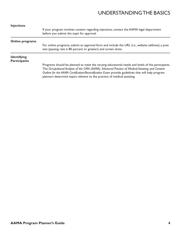# UNDERSTANDINGTHE BASICS

| If your program involves content regarding injections, contact the AAMA legal department<br>before you submit the topic for approval.                                                                                                                                                                                                                                                 |
|---------------------------------------------------------------------------------------------------------------------------------------------------------------------------------------------------------------------------------------------------------------------------------------------------------------------------------------------------------------------------------------|
|                                                                                                                                                                                                                                                                                                                                                                                       |
| For online programs, submit an approval form and include the URL (i.e., website address); a post<br>test (passing rate is 80 percent or greater); and screen shots.                                                                                                                                                                                                                   |
|                                                                                                                                                                                                                                                                                                                                                                                       |
|                                                                                                                                                                                                                                                                                                                                                                                       |
| Programs should be planned to meet the varying educational needs and levels of the participants.<br>The Occupational Analysis of the CMA (AAMA), Advanced Practice of Medical Assisting, and Content<br>Outline for the AAMA Certification/Recertification Exam provide guidelines that will help program<br>planners determine topics relevant to the practice of medical assisting. |
|                                                                                                                                                                                                                                                                                                                                                                                       |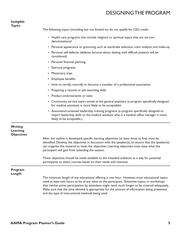## DESIGNINGTHE PROGRAM

#### **Ineligible Topics**

The following topics (including, but not limited to) do not qualify for CEU credit:

- Health care programs that include religious or spiritual topics that are *not* nondenominational
- Personal appearance or grooming, such as wardrobe selection, color analysis, and make-up
- Personal self-defense (defense lectures about dealing with difficult patients will be considered)
- Personal financial planning
- Exercise programs
- Missionary trips
- Employee benefits
- How to certify, recertify, or become a member of a professional association
- Preparing a résumé or job searching skills

and the type of instructional methods being used.

- Product endorsements or sales
- Community service topics aimed at the general populace (a program specifically designed for medical assistants is more likely to be acceptable)
- Association-oriented leadership training programs (a program specifically designed to impart leadership skills to the medical assistant who is a medical office manager is more likely to be acceptable.)

that involve active participation by attendees might need much longer to be covered adequately. Make sure that the time allowed is appropriate for the amount of information being presented

| <b>Writing</b><br>Learning<br><b>Objectives</b> |                                                                                                                                                                                                                                                                                                                                                        |  |
|-------------------------------------------------|--------------------------------------------------------------------------------------------------------------------------------------------------------------------------------------------------------------------------------------------------------------------------------------------------------------------------------------------------------|--|
|                                                 | After the outline is developed, specific learning objectives (at least three to five) must be<br>identified. Develop the objectives in discussion with the speaker(s), to ensure that the speaker(s)<br>can organize the material to meet the objectives. Learning objectives must state what the<br>participant will gain from attending the session. |  |
|                                                 | These objectives should be made available to the intended audience as a way for potential<br>participants to select courses based on their needs and interests.                                                                                                                                                                                        |  |
| Program<br>Length                               |                                                                                                                                                                                                                                                                                                                                                        |  |
|                                                 | The minimum length of any educational offering is one hour. However, most educational topics<br>need at least two hours to be of any value to the participant. Extensive topics or workshops                                                                                                                                                           |  |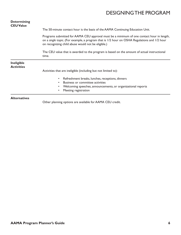# DESIGNINGTHE PROGRAM

| <b>Determining</b><br><b>CEU Value</b> |                                                                                                                                                                                                                                                                                                                                                         |  |                                        |
|----------------------------------------|---------------------------------------------------------------------------------------------------------------------------------------------------------------------------------------------------------------------------------------------------------------------------------------------------------------------------------------------------------|--|----------------------------------------|
|                                        | The 50-minute contact hour is the basis of the AAMA Continuing Education Unit.                                                                                                                                                                                                                                                                          |  |                                        |
|                                        | Programs submitted for AAMA CEU approval must be a minimum of one contact hour in length,<br>on a single topic. (For example, a program that is 1/2 hour on OSHA Regulations and 1/2 hour<br>on recognizing child abuse would not be eligible.)<br>The CEU value that is awarded to the program is based on the amount of actual instructional<br>time. |  |                                        |
|                                        |                                                                                                                                                                                                                                                                                                                                                         |  | <b>Ineligible</b><br><b>Activities</b> |
|                                        | Refreshment breaks, lunches, receptions, dinners<br>$\bullet$<br>Business or committee activities<br>$\bullet$<br>Welcoming speeches, announcements, or organizational reports<br>٠<br>Meeting registration<br>٠                                                                                                                                        |  |                                        |
| <b>Alternatives</b>                    | Other planning options are available for AAMA CEU credit.                                                                                                                                                                                                                                                                                               |  |                                        |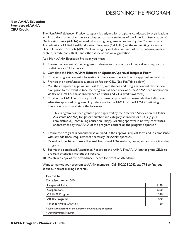# DESIGNINGTHE PROGRAM

#### **Non-AAMA Education Providers of AAMA CEU Credit**

The *Non-AAMA Education Provider* category is designed for programs conducted by organizations and institutions other than the local chapters or state societies of the American Association of Medical Assistants (AAMA) or medical assisting programs accredited by the Commission on Accreditation of Allied Health Education Programs (CAAHEP) or the Accrediting Bureau of Health Education Schools (ABHES). This category includes commercial firms, colleges, medical centers, private consultants, and other associations or organizations.

As a Non-AAMA Education Provider, you must:

- 1. Ensure the content of the program is relevant to the practice of medical assisting, so that it is eligible for CEU approval.
- 2. Complete the **Non-AAMA Education Sponsor Approval Request Form.**
- 3. Provide program content information in the format specified on the approval request form.
- 4. Provide the nonrefundable submission fee per CEU. (See Fee Table below.)
- 5. Mail the completed approval request form, with the fee and program content description, 30 days prior to the event. (Once the program has been reviewed, the AAMA send notification via fax or e-mail of the approved/denied status, and CEU credit awarded.)
- 6. Provide the AAMA with a copy of all brochures or promotional materials that indicate or advertise approved programs. Any reference to the AAMA or the AAMA Continuing Education Board must state the following:

This program has been granted prior approval by the American Association of Medical Assistants (AAMA) for [insert number and category approved for CEUs (e.g., 1 administrative)] continuing education unit(s). Granting approval in no way constitutes endorsement by the AAMA of the program content or the program's sponsor.

- 7. Ensure the program is conducted as outlined in the approval request form and in compliance with any additional requirements necessary for AAMA approval.
- 8. Download the **Attendance Record** from the AAMA website, below, and circulate it at the program.
- 9. Submit the completed Attendance Record to the AAMA. The AAMA cannot grant CEUs to program attendees without this record.
- 10. Maintain a copy of the Attendance Record for proof of attendance.

Want to market your program to AAMA members? Call 800/228-2262 ext. 774 to find out about our direct mailing list rental.

| <b>Fee Table</b>                                              |       |
|---------------------------------------------------------------|-------|
| These fees are per CEU.                                       |       |
| Hospitals/Clinics                                             | \$140 |
| Corporations                                                  | \$280 |
| <b>CAAHEP Programs</b>                                        | \$70  |
| <b>ABHES Programs</b>                                         | \$70  |
| * Not-for-Profit Charities                                    | \$0   |
| * Subject to approval of the Director of Continuing Education |       |
| * Documentation required                                      |       |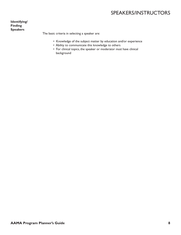# SPEAKERS/INSTRUCTORS

**Identifying/ Finding Speakers**

The basic criteria in selecting a speaker are:

- Knowledge of the subject matter by education and/or experience
- Ability to communicate this knowledge to others
- For clinical topics, the speaker or moderator *must* have clinical background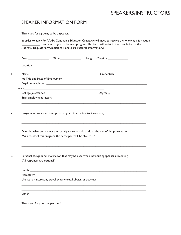### SPEAKERS/INSTRUCTORS

### SPEAKER INFORMATION FORM

Thank you for agreeing to be a speaker.

|      |    | In order to apply for AAMA Continuing Education Credit, we will need to receive the following information |
|------|----|-----------------------------------------------------------------------------------------------------------|
|      |    | days prior to your scheduled program. This form will assist in the completion of the                      |
|      |    | Approval Request Form. (Sections 1 and 2 are required information.)                                       |
|      |    |                                                                                                           |
|      |    |                                                                                                           |
| Date | ™e | Length of Session                                                                                         |

|  | Credentials ______________________ |  |
|--|------------------------------------|--|
|  |                                    |  |
|  |                                    |  |
|  |                                    |  |
|  |                                    |  |
|  |                                    |  |

\_\_\_\_\_\_\_\_\_\_\_\_\_\_\_\_\_\_\_\_\_\_\_\_\_\_\_\_\_\_\_\_\_\_\_\_\_\_\_\_\_\_\_\_\_\_\_\_\_\_\_\_\_\_\_\_\_\_\_\_\_\_\_\_\_\_\_\_\_\_\_\_\_\_\_\_\_\_\_\_\_\_\_\_

\_\_\_\_\_\_\_\_\_\_\_\_\_\_\_\_\_\_\_\_\_\_\_\_\_\_\_\_\_\_\_\_\_\_\_\_\_\_\_\_\_\_\_\_\_\_\_\_\_\_\_\_\_\_\_\_\_\_\_\_\_\_\_\_\_\_\_\_\_\_\_\_\_\_\_\_\_\_\_\_\_\_\_\_  $\mathcal{L}_\mathcal{L} = \{ \mathcal{L}_\mathcal{L} = \{ \mathcal{L}_\mathcal{L} = \{ \mathcal{L}_\mathcal{L} = \{ \mathcal{L}_\mathcal{L} = \{ \mathcal{L}_\mathcal{L} = \{ \mathcal{L}_\mathcal{L} = \{ \mathcal{L}_\mathcal{L} = \{ \mathcal{L}_\mathcal{L} = \{ \mathcal{L}_\mathcal{L} = \{ \mathcal{L}_\mathcal{L} = \{ \mathcal{L}_\mathcal{L} = \{ \mathcal{L}_\mathcal{L} = \{ \mathcal{L}_\mathcal{L} = \{ \mathcal{L}_\mathcal{$ 

 $\mathcal{L}_\mathcal{L} = \{ \mathcal{L}_\mathcal{L} = \{ \mathcal{L}_\mathcal{L} = \{ \mathcal{L}_\mathcal{L} = \{ \mathcal{L}_\mathcal{L} = \{ \mathcal{L}_\mathcal{L} = \{ \mathcal{L}_\mathcal{L} = \{ \mathcal{L}_\mathcal{L} = \{ \mathcal{L}_\mathcal{L} = \{ \mathcal{L}_\mathcal{L} = \{ \mathcal{L}_\mathcal{L} = \{ \mathcal{L}_\mathcal{L} = \{ \mathcal{L}_\mathcal{L} = \{ \mathcal{L}_\mathcal{L} = \{ \mathcal{L}_\mathcal{$  $\mathcal{L}_\mathcal{L} = \{ \mathcal{L}_\mathcal{L} = \{ \mathcal{L}_\mathcal{L} = \{ \mathcal{L}_\mathcal{L} = \{ \mathcal{L}_\mathcal{L} = \{ \mathcal{L}_\mathcal{L} = \{ \mathcal{L}_\mathcal{L} = \{ \mathcal{L}_\mathcal{L} = \{ \mathcal{L}_\mathcal{L} = \{ \mathcal{L}_\mathcal{L} = \{ \mathcal{L}_\mathcal{L} = \{ \mathcal{L}_\mathcal{L} = \{ \mathcal{L}_\mathcal{L} = \{ \mathcal{L}_\mathcal{L} = \{ \mathcal{L}_\mathcal{$ 

2. Program information/Descriptive program title (actual topic/content)

Describe what you expect the participant to be able to do at the end of the presentation. "As a result of this program, the participant will be able to…" \_\_\_\_\_\_\_\_\_\_\_\_\_\_\_\_\_\_\_\_\_\_\_\_\_\_\_\_\_\_\_\_\_\_

3. Personal background information that may be used when introducing speaker at meeting. (All responses are optional.)

| Unusual or interesting travel experiences, hobbies, or activities __________________________________                           |
|--------------------------------------------------------------------------------------------------------------------------------|
|                                                                                                                                |
|                                                                                                                                |
| Other<br><u> 1980 - Jan Sterling, margaret ar yn y brenin y brenin y brenin y brenin y brenin y brenin y brenin y brenin y</u> |

Thank you for your cooperation!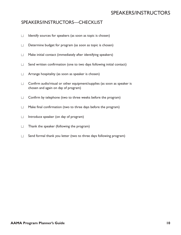## SPEAKERS/INSTRUCTORS

#### SPEAKERS/INSTRUCTORS—CHECKLIST

- $\Box$  Identify sources for speakers (as soon as topic is chosen)
- $\Box$  Determine budget for program (as soon as topic is chosen)
- $\Box$  Make initial contact (immediately after identifying speakers)
- $\Box$  Send written confirmation (one to two days following initial contact)
- $\Box$  Arrange hospitality (as soon as speaker is chosen)
- $\Box$  Confirm audio/visual or other equipment/supplies (as soon as speaker is chosen and again on day of program)
- $\Box$  Confirm by telephone (two to three weeks before the program)
- $\Box$  Make final confirmation (two to three days before the program)
- $\Box$  Introduce speaker (on day of program)
- $\Box$  Thank the speaker (following the program)
- $\Box$  Send formal thank you letter (two to three days following program)